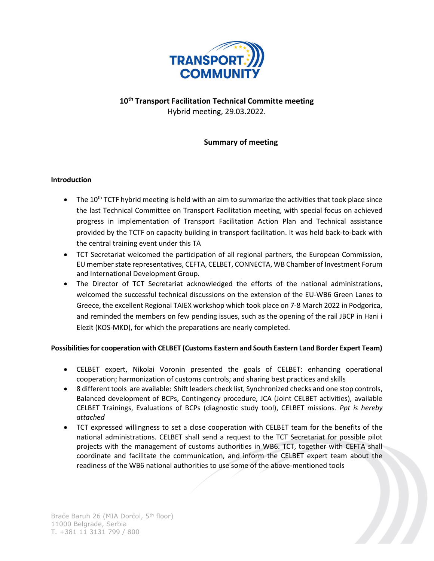

# 10<sup>th</sup> Transport Facilitation Technical Committe meeting Hybrid meeting, 29.03.2022.

## Summary of meeting

## Introduction

- The 10<sup>th</sup> TCTF hybrid meeting is held with an aim to summarize the activities that took place since the last Technical Committee on Transport Facilitation meeting, with special focus on achieved progress in implementation of Transport Facilitation Action Plan and Technical assistance provided by the TCTF on capacity building in transport facilitation. It was held back-to-back with the central training event under this TA
- TCT Secretariat welcomed the participation of all regional partners, the European Commission, EU member state representatives, CEFTA, CELBET, CONNECTA, WB Chamber of Investment Forum and International Development Group.
- The Director of TCT Secretariat acknowledged the efforts of the national administrations, welcomed the successful technical discussions on the extension of the EU-WB6 Green Lanes to Greece, the excellent Regional TAIEX workshop which took place on 7-8 March 2022 in Podgorica, and reminded the members on few pending issues, such as the opening of the rail JBCP in Hani i Elezit (KOS-MKD), for which the preparations are nearly completed.

## Possibilities for cooperation with CELBET (Customs Eastern and South Eastern Land Border Expert Team)

- CELBET expert, Nikolai Voronin presented the goals of CELBET: enhancing operational cooperation; harmonization of customs controls; and sharing best practices and skills
- 8 different tools are available: Shift leaders check list, Synchronized checks and one stop controls, Balanced development of BCPs, Contingency procedure, JCA (Joint CELBET activities), available CELBET Trainings, Evaluations of BCPs (diagnostic study tool), CELBET missions. Ppt is hereby attached
- TCT expressed willingness to set a close cooperation with CELBET team for the benefits of the national administrations. CELBET shall send a request to the TCT Secretariat for possible pilot projects with the management of customs authorities in WB6. TCT, together with CEFTA shall coordinate and facilitate the communication, and inform the CELBET expert team about the readiness of the WB6 national authorities to use some of the above-mentioned tools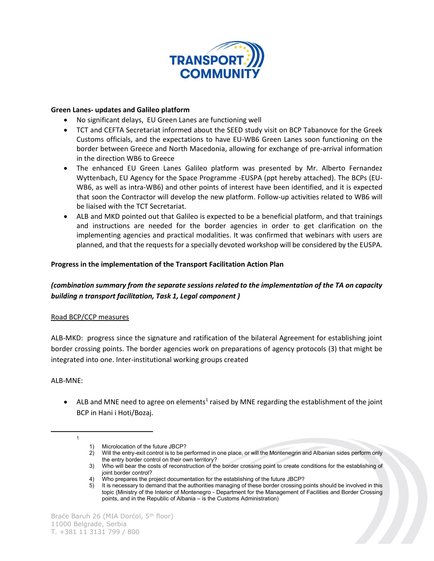

#### Green Lanes- updates and Galileo platform

- No significant delays, EU Green Lanes are functioning well
- TCT and CEFTA Secretariat informed about the SEED study visit on BCP Tabanovce for the Greek Customs officials, and the expectations to have EU-WB6 Green Lanes soon functioning on the border between Greece and North Macedonia, allowing for exchange of pre-arrival information in the direction WB6 to Greece
- The enhanced EU Green Lanes Galileo platform was presented by Mr. Alberto Fernandez Wyttenbach, EU Agency for the Space Programme -EUSPA (ppt hereby attached). The BCPs (EU-WB6, as well as intra-WB6) and other points of interest have been identified, and it is expected that soon the Contractor will develop the new platform. Follow-up activities related to WB6 will be liaised with the TCT Secretariat.
- ALB and MKD pointed out that Galileo is expected to be a beneficial platform, and that trainings and instructions are needed for the border agencies in order to get clarification on the implementing agencies and practical modalities. It was confirmed that webinars with users are planned, and that the requests for a specially devoted workshop will be considered by the EUSPA.

#### Progress in the implementation of the Transport Facilitation Action Plan

## (combination summary from the separate sessions related to the implementation of the TA on capacity building n transport facilitation, Task 1, Legal component )

## Road BCP/CCP measures

ALB-MKD: progress since the signature and ratification of the bilateral Agreement for establishing joint border crossing points. The border agencies work on preparations of agency protocols (3) that might be integrated into one. Inter-institutional working groups created

ALB-MNE:

1

 $\bullet$  ALB and MNE need to agree on elements<sup>1</sup> raised by MNE regarding the establishment of the joint BCP in Hani i Hoti/Bozaj.

<sup>1)</sup> Microlocation of the future JBCP?

<sup>2)</sup> Will the entry-exit control is to be performed in one place, or will the Montenegrin and Albanian sides perform only the entry border control on their own territory?

<sup>3)</sup> Who will bear the costs of reconstruction of the border crossing point to create conditions for the establishing of joint border control?

<sup>4)</sup> Who prepares the project documentation for the establishing of the future JBCP?

<sup>5)</sup> It is necessary to demand that the authorities managing of these border crossing points should be involved in this topic (Ministry of the Interior of Montenegro - Department for the Management of Facilities and Border Crossing points, and in the Republic of Albania – is the Customs Administration)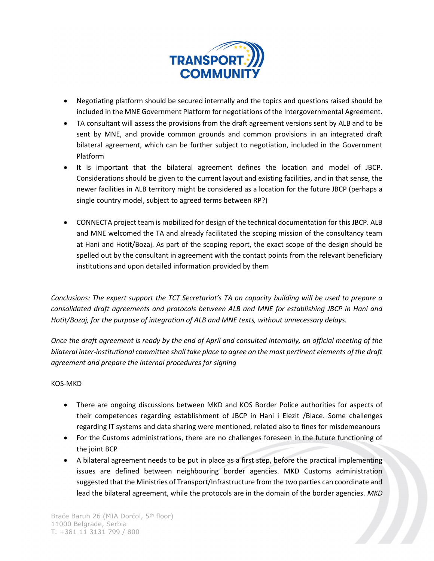

- Negotiating platform should be secured internally and the topics and questions raised should be included in the MNE Government Platform for negotiations of the Intergovernmental Agreement.
- TA consultant will assess the provisions from the draft agreement versions sent by ALB and to be sent by MNE, and provide common grounds and common provisions in an integrated draft bilateral agreement, which can be further subject to negotiation, included in the Government Platform
- It is important that the bilateral agreement defines the location and model of JBCP. Considerations should be given to the current layout and existing facilities, and in that sense, the newer facilities in ALB territory might be considered as a location for the future JBCP (perhaps a single country model, subject to agreed terms between RP?)
- CONNECTA project team is mobilized for design of the technical documentation for this JBCP. ALB and MNE welcomed the TA and already facilitated the scoping mission of the consultancy team at Hani and Hotit/Bozaj. As part of the scoping report, the exact scope of the design should be spelled out by the consultant in agreement with the contact points from the relevant beneficiary institutions and upon detailed information provided by them

Conclusions: The expert support the TCT Secretariat's TA on capacity building will be used to prepare a consolidated draft agreements and protocols between ALB and MNE for establishing JBCP in Hani and Hotit/Bozaj, for the purpose of integration of ALB and MNE texts, without unnecessary delays.

Once the draft agreement is ready by the end of April and consulted internally, an official meeting of the bilateral inter-institutional committee shall take place to agree on the most pertinent elements of the draft agreement and prepare the internal procedures for signing

## KOS-MKD

- There are ongoing discussions between MKD and KOS Border Police authorities for aspects of their competences regarding establishment of JBCP in Hani i Elezit /Blace. Some challenges regarding IT systems and data sharing were mentioned, related also to fines for misdemeanours
- For the Customs administrations, there are no challenges foreseen in the future functioning of the joint BCP
- A bilateral agreement needs to be put in place as a first step, before the practical implementing issues are defined between neighbouring border agencies. MKD Customs administration suggested that the Ministries of Transport/Infrastructure from the two parties can coordinate and lead the bilateral agreement, while the protocols are in the domain of the border agencies. MKD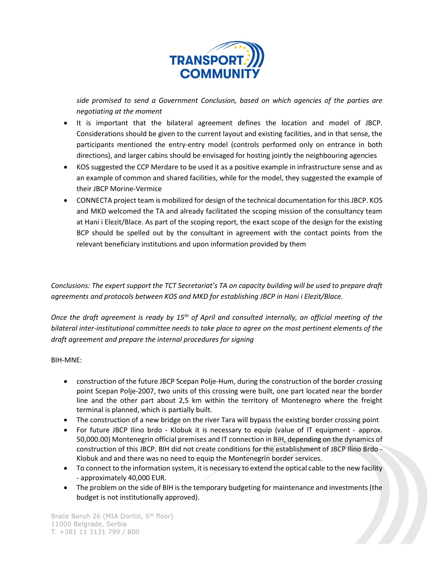

side promised to send a Government Conclusion, based on which agencies of the parties are negotiating at the moment

- It is important that the bilateral agreement defines the location and model of JBCP. Considerations should be given to the current layout and existing facilities, and in that sense, the participants mentioned the entry-entry model (controls performed only on entrance in both directions), and larger cabins should be envisaged for hosting jointly the neighbouring agencies
- KOS suggested the CCP Merdare to be used it as a positive example in infrastructure sense and as an example of common and shared facilities, while for the model, they suggested the example of their JBCP Morine-Vermice
- CONNECTA project team is mobilized for design of the technical documentation for this JBCP. KOS and MKD welcomed the TA and already facilitated the scoping mission of the consultancy team at Hani i Elezit/Blace. As part of the scoping report, the exact scope of the design for the existing BCP should be spelled out by the consultant in agreement with the contact points from the relevant beneficiary institutions and upon information provided by them

Conclusions: The expert support the TCT Secretariat's TA on capacity building will be used to prepare draft agreements and protocols between KOS and MKD for establishing JBCP in Hani i Elezit/Blace.

Once the draft agreement is ready by 15<sup>th</sup> of April and consulted internally, an official meeting of the bilateral inter-institutional committee needs to take place to agree on the most pertinent elements of the draft agreement and prepare the internal procedures for signing

## BIH-MNE:

- construction of the future JBCP Scepan Polje-Hum, during the construction of the border crossing point Scepan Polje-2007, two units of this crossing were built, one part located near the border line and the other part about 2,5 km within the territory of Montenegro where the freight terminal is planned, which is partially built.
- The construction of a new bridge on the river Tara will bypass the existing border crossing point
- For future JBCP Ilino brdo Klobuk it is necessary to equip (value of IT equipment approx. 50,000.00) Montenegrin official premises and IT connection in BiH, depending on the dynamics of construction of this JBCP. BIH did not create conditions for the establishment of JBCP Ilino Brdo - Klobuk and and there was no need to equip the Montenegrin border services.
- To connect to the information system, it is necessary to extend the optical cable to the new facility - approximately 40,000 EUR.
- The problem on the side of BIH is the temporary budgeting for maintenance and investments (the budget is not institutionally approved).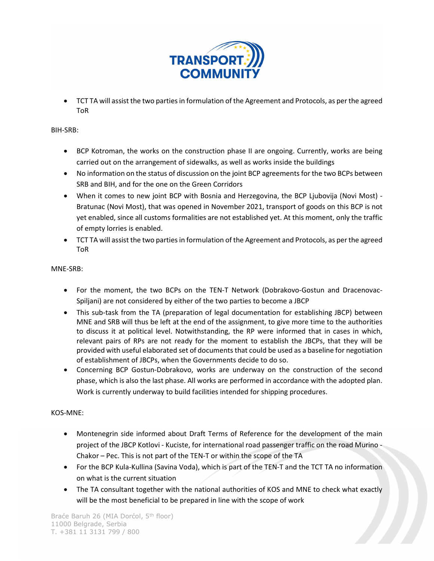

 TCT TA will assist the two parties in formulation of the Agreement and Protocols, as per the agreed ToR

BIH-SRB:

- BCP Kotroman, the works on the construction phase II are ongoing. Currently, works are being carried out on the arrangement of sidewalks, as well as works inside the buildings
- No information on the status of discussion on the joint BCP agreements for the two BCPs between SRB and BIH, and for the one on the Green Corridors
- When it comes to new joint BCP with Bosnia and Herzegovina, the BCP Ljubovija (Novi Most) Bratunac (Novi Most), that was opened in November 2021, transport of goods on this BCP is not yet enabled, since all customs formalities are not established yet. At this moment, only the traffic of empty lorries is enabled.
- TCT TA will assist the two parties in formulation of the Agreement and Protocols, as per the agreed ToR

MNE-SRB:

- For the moment, the two BCPs on the TEN-T Network (Dobrakovo-Gostun and Dracenovac-Spiljani) are not considered by either of the two parties to become a JBCP
- This sub-task from the TA (preparation of legal documentation for establishing JBCP) between MNE and SRB will thus be left at the end of the assignment, to give more time to the authorities to discuss it at political level. Notwithstanding, the RP were informed that in cases in which, relevant pairs of RPs are not ready for the moment to establish the JBCPs, that they will be provided with useful elaborated set of documents that could be used as a baseline for negotiation of establishment of JBCPs, when the Governments decide to do so.
- Concerning BCP Gostun-Dobrakovo, works are underway on the construction of the second phase, which is also the last phase. All works are performed in accordance with the adopted plan. Work is currently underway to build facilities intended for shipping procedures.

## KOS-MNE:

- Montenegrin side informed about Draft Terms of Reference for the development of the main project of the JBCP Kotlovi - Kuciste, for international road passenger traffic on the road Murino - Chakor – Pec. This is not part of the TEN-T or within the scope of the TA
- For the BCP Kula-Kullina (Savina Voda), which is part of the TEN-T and the TCT TA no information on what is the current situation
- The TA consultant together with the national authorities of KOS and MNE to check what exactly will be the most beneficial to be prepared in line with the scope of work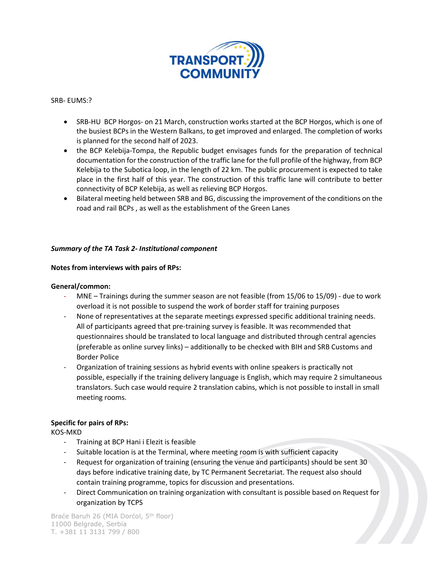

#### SRB- EUMS:?

- SRB-HU BCP Horgos- on 21 March, construction works started at the BCP Horgos, which is one of the busiest BCPs in the Western Balkans, to get improved and enlarged. The completion of works is planned for the second half of 2023.
- the BCP Kelebija-Tompa, the Republic budget envisages funds for the preparation of technical documentation for the construction of the traffic lane for the full profile of the highway, from BCP Kelebija to the Subotica loop, in the length of 22 km. The public procurement is expected to take place in the first half of this year. The construction of this traffic lane will contribute to better connectivity of BCP Kelebija, as well as relieving BCP Horgos.
- Bilateral meeting held between SRB and BG, discussing the improvement of the conditions on the road and rail BCPs , as well as the establishment of the Green Lanes

## Summary of the TA Task 2- Institutional component

#### Notes from interviews with pairs of RPs:

#### General/common:

- MNE Trainings during the summer season are not feasible (from 15/06 to 15/09) due to work overload it is not possible to suspend the work of border staff for training purposes
- None of representatives at the separate meetings expressed specific additional training needs. All of participants agreed that pre-training survey is feasible. It was recommended that questionnaires should be translated to local language and distributed through central agencies (preferable as online survey links) – additionally to be checked with BIH and SRB Customs and Border Police
- Organization of training sessions as hybrid events with online speakers is practically not possible, especially if the training delivery language is English, which may require 2 simultaneous translators. Such case would require 2 translation cabins, which is not possible to install in small meeting rooms.

## Specific for pairs of RPs:

KOS-MKD

- Training at BCP Hani i Elezit is feasible
- Suitable location is at the Terminal, where meeting room is with sufficient capacity
- Request for organization of training (ensuring the venue and participants) should be sent 30 days before indicative training date, by TC Permanent Secretariat. The request also should contain training programme, topics for discussion and presentations.
- Direct Communication on training organization with consultant is possible based on Request for organization by TCPS

Braće Baruh 26 (MIA Dorćol, 5<sup>th</sup> floor) 11000 Belgrade, Serbia T. +381 11 3131 799 / 800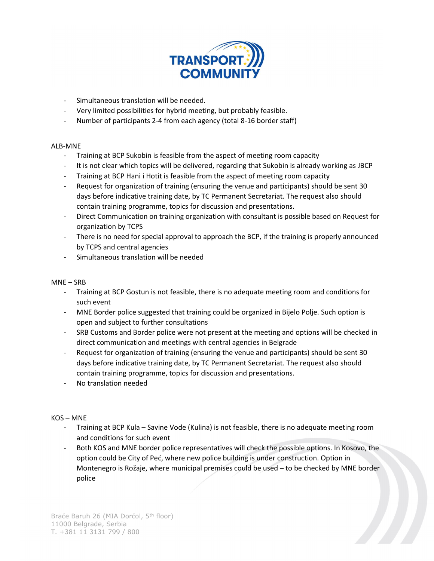

- Simultaneous translation will be needed.
- Very limited possibilities for hybrid meeting, but probably feasible.
- Number of participants 2-4 from each agency (total 8-16 border staff)

#### ALB-MNE

- Training at BCP Sukobin is feasible from the aspect of meeting room capacity
- It is not clear which topics will be delivered, regarding that Sukobin is already working as JBCP
- Training at BCP Hani i Hotit is feasible from the aspect of meeting room capacity
- Request for organization of training (ensuring the venue and participants) should be sent 30 days before indicative training date, by TC Permanent Secretariat. The request also should contain training programme, topics for discussion and presentations.
- Direct Communication on training organization with consultant is possible based on Request for organization by TCPS
- There is no need for special approval to approach the BCP, if the training is properly announced by TCPS and central agencies
- Simultaneous translation will be needed

#### MNE – SRB

- Training at BCP Gostun is not feasible, there is no adequate meeting room and conditions for such event
- MNE Border police suggested that training could be organized in Bijelo Polje. Such option is open and subject to further consultations
- SRB Customs and Border police were not present at the meeting and options will be checked in direct communication and meetings with central agencies in Belgrade
- Request for organization of training (ensuring the venue and participants) should be sent 30 days before indicative training date, by TC Permanent Secretariat. The request also should contain training programme, topics for discussion and presentations.
- No translation needed

KOS – MNE

- Training at BCP Kula Savine Vode (Kulina) is not feasible, there is no adequate meeting room and conditions for such event
- Both KOS and MNE border police representatives will check the possible options. In Kosovo, the option could be City of Peć, where new police building is under construction. Option in Montenegro is Rožaje, where municipal premises could be used – to be checked by MNE border police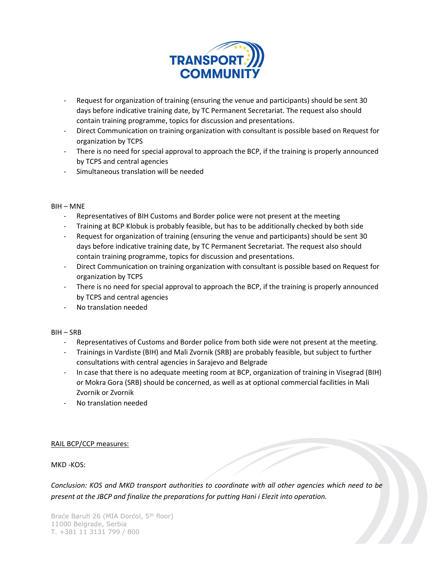

- Request for organization of training (ensuring the venue and participants) should be sent 30 days before indicative training date, by TC Permanent Secretariat. The request also should contain training programme, topics for discussion and presentations.
- Direct Communication on training organization with consultant is possible based on Request for organization by TCPS
- There is no need for special approval to approach the BCP, if the training is properly announced by TCPS and central agencies
- Simultaneous translation will be needed

## BIH – MNE

- Representatives of BIH Customs and Border police were not present at the meeting
- Training at BCP Klobuk is probably feasible, but has to be additionally checked by both side
- Request for organization of training (ensuring the venue and participants) should be sent 30 days before indicative training date, by TC Permanent Secretariat. The request also should contain training programme, topics for discussion and presentations.
- Direct Communication on training organization with consultant is possible based on Request for organization by TCPS
- There is no need for special approval to approach the BCP, if the training is properly announced by TCPS and central agencies
- No translation needed

## BIH – SRB

- Representatives of Customs and Border police from both side were not present at the meeting.
- Trainings in Vardiste (BIH) and Mali Zvornik (SRB) are probably feasible, but subject to further consultations with central agencies in Sarajevo and Belgrade
- In case that there is no adequate meeting room at BCP, organization of training in Visegrad (BIH) or Mokra Gora (SRB) should be concerned, as well as at optional commercial facilities in Mali Zvornik or Zvornik
- No translation needed

## RAIL BCP/CCP measures:

## MKD -KOS:

Conclusion: KOS and MKD transport authorities to coordinate with all other agencies which need to be present at the JBCP and finalize the preparations for putting Hani i Elezit into operation.

Braće Baruh 26 (MIA Dorćol, 5<sup>th</sup> floor) 11000 Belgrade, Serbia T. +381 11 3131 799 / 800